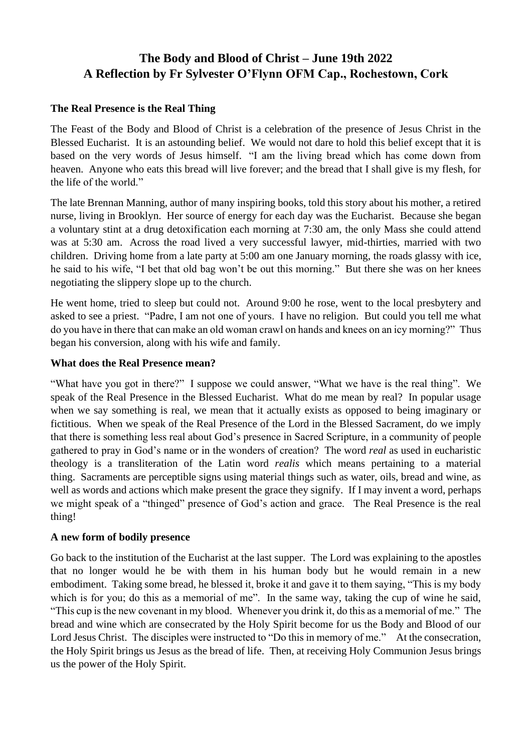# **The Body and Blood of Christ – June 19th 2022 A Reflection by Fr Sylvester O'Flynn OFM Cap., Rochestown, Cork**

## **The Real Presence is the Real Thing**

The Feast of the Body and Blood of Christ is a celebration of the presence of Jesus Christ in the Blessed Eucharist. It is an astounding belief. We would not dare to hold this belief except that it is based on the very words of Jesus himself. "I am the living bread which has come down from heaven. Anyone who eats this bread will live forever; and the bread that I shall give is my flesh, for the life of the world."

The late Brennan Manning, author of many inspiring books, told this story about his mother, a retired nurse, living in Brooklyn. Her source of energy for each day was the Eucharist. Because she began a voluntary stint at a drug detoxification each morning at 7:30 am, the only Mass she could attend was at 5:30 am. Across the road lived a very successful lawyer, mid-thirties, married with two children. Driving home from a late party at 5:00 am one January morning, the roads glassy with ice, he said to his wife, "I bet that old bag won't be out this morning." But there she was on her knees negotiating the slippery slope up to the church.

He went home, tried to sleep but could not. Around 9:00 he rose, went to the local presbytery and asked to see a priest. "Padre, I am not one of yours. I have no religion. But could you tell me what do you have in there that can make an old woman crawl on hands and knees on an icy morning?" Thus began his conversion, along with his wife and family.

## **What does the Real Presence mean?**

"What have you got in there?" I suppose we could answer, "What we have is the real thing". We speak of the Real Presence in the Blessed Eucharist. What do me mean by real? In popular usage when we say something is real, we mean that it actually exists as opposed to being imaginary or fictitious. When we speak of the Real Presence of the Lord in the Blessed Sacrament, do we imply that there is something less real about God's presence in Sacred Scripture, in a community of people gathered to pray in God's name or in the wonders of creation? The word *real* as used in eucharistic theology is a transliteration of the Latin word *realis* which means pertaining to a material thing. Sacraments are perceptible signs using material things such as water, oils, bread and wine, as well as words and actions which make present the grace they signify. If I may invent a word, perhaps we might speak of a "thinged" presence of God's action and grace. The Real Presence is the real thing!

## **A new form of bodily presence**

Go back to the institution of the Eucharist at the last supper. The Lord was explaining to the apostles that no longer would he be with them in his human body but he would remain in a new embodiment. Taking some bread, he blessed it, broke it and gave it to them saying, "This is my body which is for you; do this as a memorial of me". In the same way, taking the cup of wine he said, "This cup is the new covenant in my blood. Whenever you drink it, do this as a memorial of me." The bread and wine which are consecrated by the Holy Spirit become for us the Body and Blood of our Lord Jesus Christ. The disciples were instructed to "Do this in memory of me." At the consecration, the Holy Spirit brings us Jesus as the bread of life. Then, at receiving Holy Communion Jesus brings us the power of the Holy Spirit.